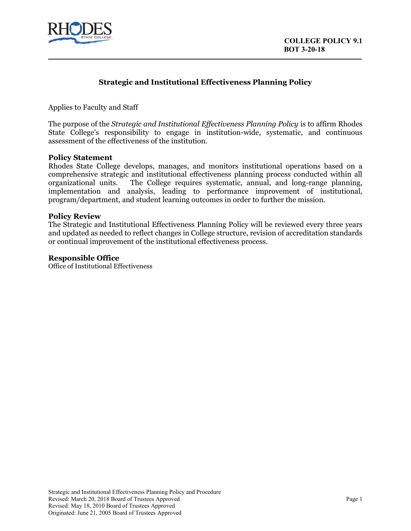

## **Strategic and Institutional Effectiveness Planning Policy**

Applies to Faculty and Staff

The purpose of the *Strategic and Institutional Effectiveness Planning Policy* is to affirm Rhodes State College's responsibility to engage in institution-wide, systematic, and continuous assessment of the effectiveness of the institution.

#### **Policy Statement**

Rhodes State College develops, manages, and monitors institutional operations based on a comprehensive strategic and institutional effectiveness planning process conducted within all organizational units. The College requires systematic, annual, and long-range planning, implementation and analysis, leading to performance improvement of institutional, program/department, and student learning outcomes in order to further the mission.

#### **Policy Review**

The Strategic and Institutional Effectiveness Planning Policy will be reviewed every three years and updated as needed to reflect changes in College structure, revision of accreditation standards or continual improvement of the institutional effectiveness process.

#### **Responsible Office**

Office of Institutional Effectiveness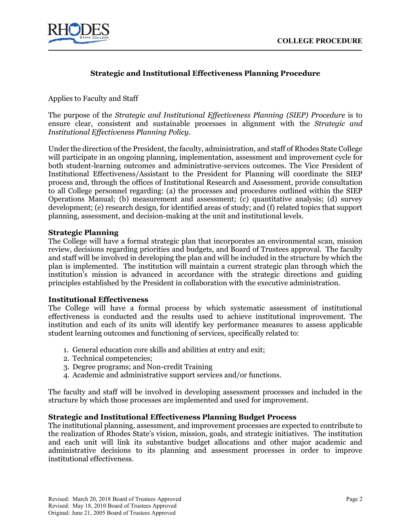

# **Strategic and Institutional Effectiveness Planning Procedure**

Applies to Faculty and Staff

The purpose of the *Strategic and Institutional Effectiveness Planning (SIEP) Procedure* is to ensure clear, consistent and sustainable processes in alignment with the *Strategic and Institutional Effectiveness Planning Policy*.

Under the direction of the President, the faculty, administration, and staff of Rhodes State College will participate in an ongoing planning, implementation, assessment and improvement cycle for both student-learning outcomes and administrative-services outcomes. The Vice President of Institutional Effectiveness/Assistant to the President for Planning will coordinate the SIEP process and, through the offices of Institutional Research and Assessment, provide consultation to all College personnel regarding: (a) the processes and procedures outlined within the SIEP Operations Manual; (b) measurement and assessment; (c) quantitative analysis; (d) survey development; (e) research design, for identified areas of study; and (f) related topics that support planning, assessment, and decision-making at the unit and institutional levels.

## **Strategic Planning**

The College will have a formal strategic plan that incorporates an environmental scan, mission review, decisions regarding priorities and budgets, and Board of Trustees approval. The faculty and staff will be involved in developing the plan and will be included in the structure by which the plan is implemented. The institution will maintain a current strategic plan through which the institution's mission is advanced in accordance with the strategic directions and guiding principles established by the President in collaboration with the executive administration.

## **Institutional Effectiveness**

The College will have a formal process by which systematic assessment of institutional effectiveness is conducted and the results used to achieve institutional improvement. The institution and each of its units will identify key performance measures to assess applicable student learning outcomes and functioning of services, specifically related to:

- 1. General education core skills and abilities at entry and exit;
- 2. Technical competencies;
- 3. Degree programs; and Non-credit Training
- 4. Academic and administrative support services and/or functions.

The faculty and staff will be involved in developing assessment processes and included in the structure by which those processes are implemented and used for improvement.

## **Strategic and Institutional Effectiveness Planning Budget Process**

The institutional planning, assessment, and improvement processes are expected to contribute to the realization of Rhodes State's vision, mission, goals, and strategic initiatives. The institution and each unit will link its substantive budget allocations and other major academic and administrative decisions to its planning and assessment processes in order to improve institutional effectiveness.